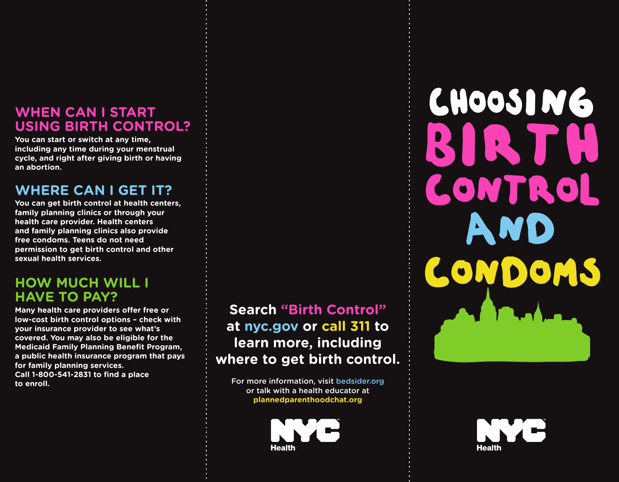#### **WHEN CAN I START USING BIRTH CONTROL?**

**You can start or switch at any time, including any time during your menstrual cycle, and right after giving birth or having an abortion.** 

#### **WHERE CAN I GET IT?**

**You can get birth control at health centers, family planning clinics or through your health care provider. Health centers and family planning clinics also provide free condoms. Teens do not need permission to get birth control and other sexual health services.**

#### **HOW MUCH WILL I HAVE TO PAY?**

**Many health care providers offer free or low-cost birth control options – check with your insurance provider to see what's covered. You may also be eligible for the Medicaid Family Planning Benefit Program, a public health insurance program that pays for family planning services. Call 1-800-541-2831 to find a place to enroll.** 

### **Search "Birth Control" at nyc.gov or call 311 to learn more, including where to get birth control.**

For more information, visit bedsider.org or talk with a health educator at **plannedparenthoodchat.org** 



# **CHOOSING** RIRT LONTROL A ONDO